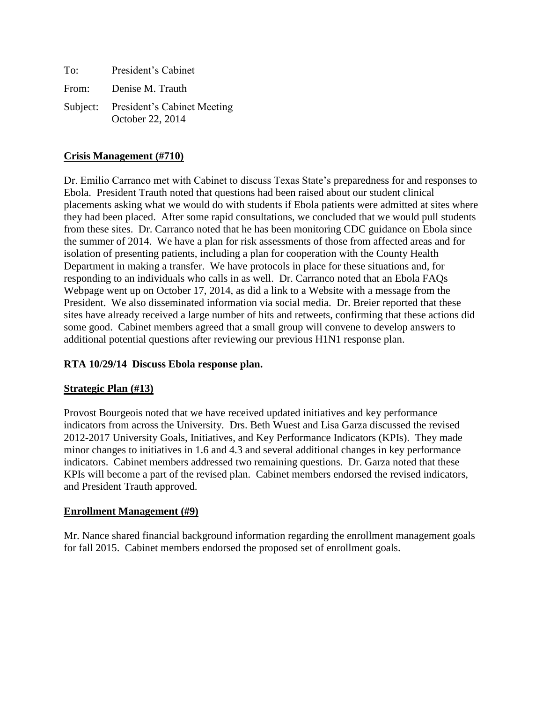| To: | President's Cabinet                                      |
|-----|----------------------------------------------------------|
|     | From: Denise M. Trauth                                   |
|     | Subject: President's Cabinet Meeting<br>October 22, 2014 |

## **Crisis Management (#710)**

Dr. Emilio Carranco met with Cabinet to discuss Texas State's preparedness for and responses to Ebola. President Trauth noted that questions had been raised about our student clinical placements asking what we would do with students if Ebola patients were admitted at sites where they had been placed. After some rapid consultations, we concluded that we would pull students from these sites. Dr. Carranco noted that he has been monitoring CDC guidance on Ebola since the summer of 2014. We have a plan for risk assessments of those from affected areas and for isolation of presenting patients, including a plan for cooperation with the County Health Department in making a transfer. We have protocols in place for these situations and, for responding to an individuals who calls in as well. Dr. Carranco noted that an Ebola FAQs Webpage went up on October 17, 2014, as did a link to a Website with a message from the President. We also disseminated information via social media. Dr. Breier reported that these sites have already received a large number of hits and retweets, confirming that these actions did some good. Cabinet members agreed that a small group will convene to develop answers to additional potential questions after reviewing our previous H1N1 response plan.

### **RTA 10/29/14 Discuss Ebola response plan.**

### **Strategic Plan (#13)**

Provost Bourgeois noted that we have received updated initiatives and key performance indicators from across the University.Drs. Beth Wuest and Lisa Garza discussed the revised 2012-2017 University Goals, Initiatives, and Key Performance Indicators (KPIs). They made minor changes to initiatives in 1.6 and 4.3 and several additional changes in key performance indicators. Cabinet members addressed two remaining questions. Dr. Garza noted that these KPIs will become a part of the revised plan. Cabinet members endorsed the revised indicators, and President Trauth approved.

### **Enrollment Management (#9)**

Mr. Nance shared financial background information regarding the enrollment management goals for fall 2015. Cabinet members endorsed the proposed set of enrollment goals.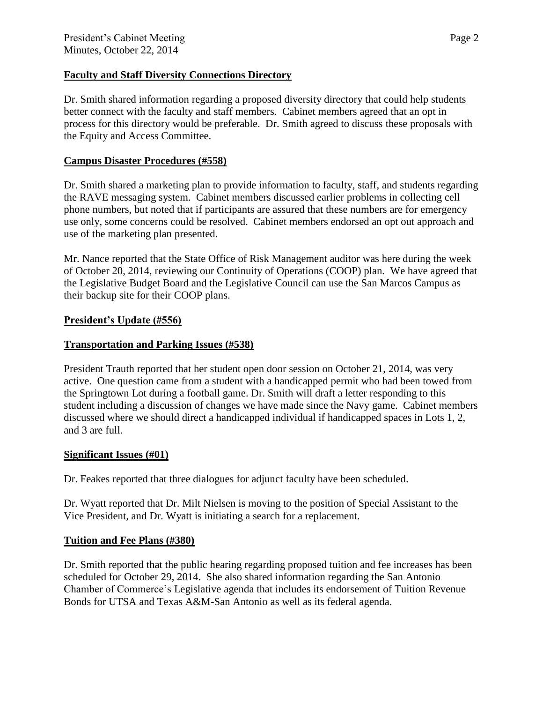## **Faculty and Staff Diversity Connections Directory**

Dr. Smith shared information regarding a proposed diversity directory that could help students better connect with the faculty and staff members. Cabinet members agreed that an opt in process for this directory would be preferable. Dr. Smith agreed to discuss these proposals with the Equity and Access Committee.

## **Campus Disaster Procedures (#558)**

Dr. Smith shared a marketing plan to provide information to faculty, staff, and students regarding the RAVE messaging system. Cabinet members discussed earlier problems in collecting cell phone numbers, but noted that if participants are assured that these numbers are for emergency use only, some concerns could be resolved. Cabinet members endorsed an opt out approach and use of the marketing plan presented.

Mr. Nance reported that the State Office of Risk Management auditor was here during the week of October 20, 2014, reviewing our Continuity of Operations (COOP) plan. We have agreed that the Legislative Budget Board and the Legislative Council can use the San Marcos Campus as their backup site for their COOP plans.

### **President's Update (#556)**

### **Transportation and Parking Issues (#538)**

President Trauth reported that her student open door session on October 21, 2014, was very active. One question came from a student with a handicapped permit who had been towed from the Springtown Lot during a football game. Dr. Smith will draft a letter responding to this student including a discussion of changes we have made since the Navy game. Cabinet members discussed where we should direct a handicapped individual if handicapped spaces in Lots 1, 2, and 3 are full.

### **Significant Issues (#01)**

Dr. Feakes reported that three dialogues for adjunct faculty have been scheduled.

Dr. Wyatt reported that Dr. Milt Nielsen is moving to the position of Special Assistant to the Vice President, and Dr. Wyatt is initiating a search for a replacement.

### **Tuition and Fee Plans (#380)**

Dr. Smith reported that the public hearing regarding proposed tuition and fee increases has been scheduled for October 29, 2014. She also shared information regarding the San Antonio Chamber of Commerce's Legislative agenda that includes its endorsement of Tuition Revenue Bonds for UTSA and Texas A&M-San Antonio as well as its federal agenda.